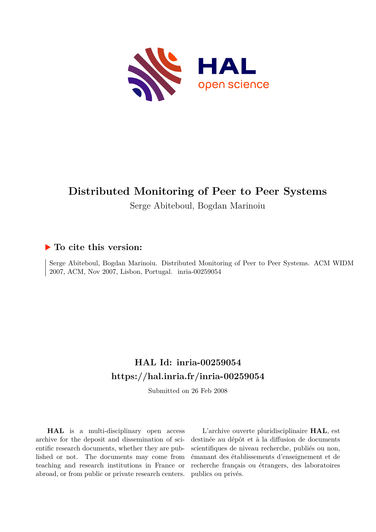

# **Distributed Monitoring of Peer to Peer Systems**

Serge Abiteboul, Bogdan Marinoiu

# **To cite this version:**

Serge Abiteboul, Bogdan Marinoiu. Distributed Monitoring of Peer to Peer Systems. ACM WIDM 2007, ACM, Nov 2007, Lisbon, Portugal. inria-00259054

# **HAL Id: inria-00259054 <https://hal.inria.fr/inria-00259054>**

Submitted on 26 Feb 2008

**HAL** is a multi-disciplinary open access archive for the deposit and dissemination of scientific research documents, whether they are published or not. The documents may come from teaching and research institutions in France or abroad, or from public or private research centers.

L'archive ouverte pluridisciplinaire **HAL**, est destinée au dépôt et à la diffusion de documents scientifiques de niveau recherche, publiés ou non, émanant des établissements d'enseignement et de recherche français ou étrangers, des laboratoires publics ou privés.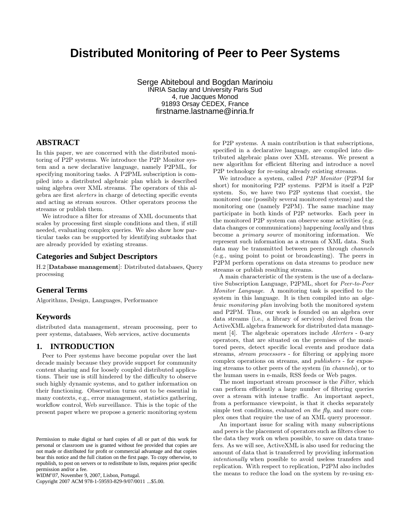# **Distributed Monitoring of Peer to Peer Systems**

Serge Abiteboul and Bogdan Marinoiu INRIA Saclay and University Paris Sud 4, rue Jacques Monod 91893 Orsay CEDEX, France firstname.lastname@inria.fr

# **ABSTRACT**

In this paper, we are concerned with the distributed monitoring of P2P systems. We introduce the P2P Monitor system and a new declarative language, namely P2PML, for specifying monitoring tasks. A P2PML subscription is compiled into a distributed algebraic plan which is described using algebra over XML streams. The operators of this algebra are first alerters in charge of detecting specific events and acting as stream sources. Other operators process the streams or publish them.

We introduce a filter for streams of XML documents that scales by processing first simple conditions and then, if still needed, evaluating complex queries. We also show how particular tasks can be supported by identifying subtasks that are already provided by existing streams.

# **Categories and Subject Descriptors**

H.2 [Database management]: Distributed databases, Query processing

# **General Terms**

Algorithms, Design, Languages, Performance

## **Keywords**

distributed data management, stream processing, peer to peer systems, databases, Web services, active documents

# **1. INTRODUCTION**

Peer to Peer systems have become popular over the last decade mainly because they provide support for community content sharing and for loosely coupled distributed applications. Their use is still hindered by the difficulty to observe such highly dynamic systems, and to gather information on their functioning. Observation turns out to be essential in many contexts, e.g., error management, statistics gathering, workflow control, Web surveillance. This is the topic of the present paper where we propose a generic monitoring system

Copyright 2007 ACM 978-1-59593-829-9/07/0011 ...\$5.00.

for P2P systems. A main contribution is that subscriptions, specified in a declarative language, are compiled into distributed algebraic plans over XML streams. We present a new algorithm for efficient filtering and introduce a novel P2P technology for re-using already existing streams.

We introduce a system, called P2P Monitor (P2PM for short) for monitoring P2P systems. P2PM is itself a P2P system. So, we have two P2P systems that coexist, the monitored one (possibly several monitored systems) and the monitoring one (namely P2PM). The same machine may participate in both kinds of P2P networks. Each peer in the monitored P2P system can observe some activities (e.g. data changes or communications) happening locally and thus become a primary source of monitoring information. We represent such information as a stream of XML data. Such data may be transmitted between peers through channels (e.g., using point to point or broadcasting). The peers in P2PM perform operations on data streams to produce new streams or publish resulting streams.

A main characteristic of the system is the use of a declarative Subscription Language, P2PML, short for Peer-to-Peer Monitor Language. A monitoring task is specified to the system in this language. It is then compiled into an *alge*braic monitoring plan involving both the monitored system and P2PM. Thus, our work is founded on an algebra over data streams (i.e., a library of services) derived from the ActiveXML algebra framework for distributed data management [4]. The algebraic operators include Alerters - 0-ary operators, that are situated on the premises of the monitored peers, detect specific local events and produce data streams, stream processors - for filtering or applying more complex operations on streams, and publishers - for exposing streams to other peers of the system (in channels), or to the human users in e-mails, RSS feeds or Web pages.

The most important stream processor is the Filter, which can perform efficiently a large number of filtering queries over a stream with intense traffic. An important aspect, from a performance viewpoint, is that it checks separately simple test conditions, evaluated on the fly, and more complex ones that require the use of an XML query processor.

An important issue for scaling with many subscriptions and peers is the placement of operators such as filters close to the data they work on when possible, to save on data transfers. As we will see, ActiveXML is also used for reducing the amount of data that is transferred by providing information intentionally when possible to avoid useless transfers and replication. With respect to replication, P2PM also includes the means to reduce the load on the system by re-using ex-

Permission to make digital or hard copies of all or part of this work for personal or classroom use is granted without fee provided that copies are not made or distributed for profit or commercial advantage and that copies bear this notice and the full citation on the first page. To copy otherwise, to republish, to post on servers or to redistribute to lists, requires prior specific permission and/or a fee.

*WIDM'07,* November 9, 2007, Lisbon, Portugal.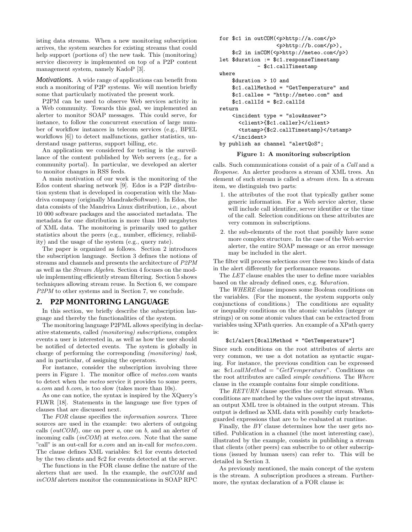isting data streams. When a new monitoring subscription arrives, the system searches for existing streams that could help support (portions of) the new task. This (monitoring) service discovery is implemented on top of a P2P content management system, namely KadoP [3].

*Motivations.* A wide range of applications can benefit from such a monitoring of P2P systems. We will mention briefly some that particularly motivated the present work.

P2PM can be used to observe Web services activity in a Web community. Towards this goal, we implemented an alerter to monitor SOAP messages. This could serve, for instance, to follow the concurrent execution of large number of workflow instances in telecom services (e.g., BPEL workflows [6]) to detect malfunctions, gather statistics, understand usage patterns, support billing, etc.

An application we considered for testing is the surveillance of the content published by Web servers (e.g., for a community portal). In particular, we developed an alerter to monitor changes in RSS feeds.

A main motivation of our work is the monitoring of the Edos content sharing network [9]. Edos is a P2P distribution system that is developed in cooperation with the Mandriva company (originally MandrakeSoftware). In Edos, the data consists of the Mandriva Linux distribution, i.e., about 10 000 software packages and the associated metadata. The metadata for one distribution is more than 100 megabytes of XML data. The monitoring is primarily used to gather statistics about the peers (e.g., number, efficiency, reliability) and the usage of the system (e.g., query rate).

The paper is organized as follows. Section 2 introduces the subscription language. Section 3 defines the notions of streams and channels and presents the architecture of P2PM as well as the Stream Algebra. Section 4 focuses on the module implementing efficiently stream filtering. Section 5 shows techniques allowing stream reuse. In Section 6, we compare P2PM to other systems and in Section 7, we conclude.

#### **2. P2P MONITORING LANGUAGE**

In this section, we briefly describe the subscription language and thereby the functionalities of the system.

The monitoring language P2PML allows specifying in declarative statements, called (monitoring) subscriptions, complex events a user is interested in, as well as how the user should be notified of detected events. The system is globally in charge of performing the corresponding (monitoring) task, and in particular, of assigning the operators.

For instance, consider the subscription involving three peers in Figure 1. The monitor office of meteo.com wants to detect when the meteo service it provides to some peers, a.com and b.com, is too slow (takes more than 10s).

As one can notice, the syntax is inspired by the XQuery's FLWR [18]. Statements in the language use five types of clauses that are discussed next.

The FOR clause specifies the *information sources*. Three sources are used in the example: two alerters of outgoing calls (*outCOM*), one on peer  $a$ , one on  $b$ , and an alerter of incoming calls  $(inCOM)$  at meteo.com. Note that the same "call" is an out-call for a.com and an in-call for meteo.com. The clause defines XML variables: \$c1 for events detected by the two clients and \$c2 for events detected at the server.

The functions in the FOR clause define the nature of the alerters that are used. In the example, the outCOM and inCOM alerters monitor the communications in SOAP RPC

```
for $c1 in outCOM(<p>http://a.com</p>
                  <p>http://b.com</p>),
    $c2 in inCOM(<p>http://meteo.com</p>)
let $duration := $c1.responseTimestamp
            - $c1.callTimestamp
where
    $duration > 10 and
    $c1.callMethod = "GetTemperature" and
    $c1.callee = "http://meteo.com" and
    $c1.callId = $c2.callIdreturn
    <incident type = "slowAnswer">
      <client>{$c1.caller}</client>
      <tstamp>{$c2.callTimestamp}</tstamp>
    </incident>
by publish as channel "alertQoS";
```
#### Figure 1: A monitoring subscription

calls. Such communications consist of a pair of a Call and a Response. An alerter produces a stream of XML trees. An element of such stream is called a stream item. In a stream item, we distinguish two parts:

- 1. the attributes of the root that typically gather some generic information. For a Web service alerter, these will include call identifier, server identifier or the time of the call. Selection conditions on these attributes are very common in subscriptions.
- 2. the sub-elements of the root that possibly have some more complex structure. In the case of the Web service alerter, the entire SOAP message or an error message may be included in the alert.

The filter will process selections over these two kinds of data in the alert differently for performance reasons.

The LET clause enables the user to define more variables based on the already defined ones, e.g. \$duration.

The WHERE clause imposes some Boolean conditions on the variables. (For the moment, the system supports only conjunctions of conditions.) The conditions are equality or inequality conditions on the atomic variables (integer or strings) or on some atomic values that can be extracted from variables using XPath queries. An example of a XPath query is:

#### \$c1/alert[@callMethod = "GetTemperature"]

Since such conditions on the root attributes of alerts are very common, we use a dot notation as syntactic sugaring. For instance, the previous condition can be expressed as:  $\text{\$c1.callMethod} = "GetTemperature".$  Conditions on the root attributes are called simple conditions. The Where clause in the example contains four simple conditions.

The RETURN clause specifies the output stream. When conditions are matched by the values over the input streams, an output XML tree is obtained in the output stream. This output is defined as XML data with possibly curly bracketsguarded expressions that are to be evaluated at runtime.

Finally, the BY clause determines how the user gets notified. Publication in a channel (the most interesting case), illustrated by the example, consists in publishing a stream that clients (other peers) can subscribe to or other subscriptions (issued by human users) can refer to. This will be detailed in Section 3.

As previously mentioned, the main concept of the system is the stream. A subscription produces a stream. Furthermore, the syntax declaration of a FOR clause is: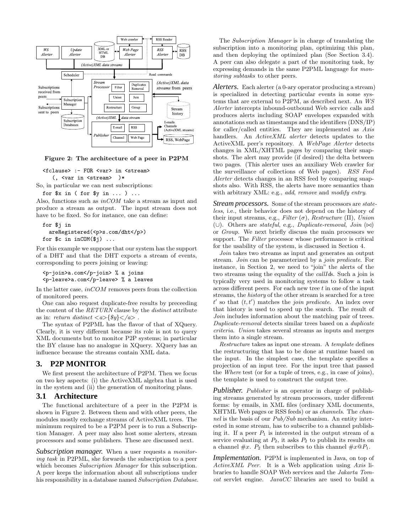

Figure 2: The architecture of a peer in P2PM

<fclause> :- FOR <var> in <stream> (, <var in <stream> )\*

So, in particular we can nest subscriptions:

```
for x \in \{ 6r \text{ s}y \text{ in} \dots \} ...
```
Also, functions such as inCOM take a stream as input and produce a stream as output. The input stream does not have to be fixed. So for instance, one can define:

```
for $j in
  areRegistered(<p>s.com/dht</p>)
for C in inCOM(\frac{1}{2}) ...
```
For this example we suppose that our system has the support of a DHT and that the DHT exports a stream of events, corresponding to peers joining or leaving:

```
<p-join>a.com</p-join> % a joins
<p-leave>a.com</p-leave> % a leaves
```
In the latter case, inCOM removes peers from the collection of monitored peers.

One can also request duplicate-free results by preceeding the content of the RETURN clause by the distinct attribute as in: return distinct  $\langle a \rangle \{\$\}\rangle \langle /a \rangle$ .

The syntax of P2PML has the flavor of that of XQuery. Clearly, it is very different because its role is not to query XML documents but to monitor P2P systems; in particular the BY clause has no analogue in XQuery. XQuery has an influence because the streams contain XML data.

### **3. P2P MONITOR**

We first present the architecture of P2PM. Then we focus on two key aspects: (i) the ActiveXML algebra that is used in the system and (ii) the generation of monitoring plans.

#### **3.1 Architecture**

The functional architecture of a peer in the P2PM is shown in Figure 2. Between them and with other peers, the modules mostly exchange streams of ActiveXML trees. The minimum required to be a P2PM peer is to run a Subscription Manager. A peer may also host some alerters, stream processors and some publishers. These are discussed next.

*Subscription manager.* When a user requests a monitoring task in P2PML, she forwards the subscription to a peer which becomes Subscription Manager for this subscription. A peer keeps the information about all subscriptions under his responsibility in a database named Subscription Database.

The Subscription Manager is in charge of translating the subscription into a monitoring plan, optimizing this plan, and then deploying the optimized plan (See Section 3.4). A peer can also delegate a part of the monitoring task, by expressing demands in the same P2PML language for monitoring subtasks to other peers.

*Alerters.* Each alerter (a 0-ary operator producing a stream) is specialized in detecting particular events in some systems that are external to P2PM, as described next. An WS Alerter intercepts inbound-outbound Web service calls and produces alerts including SOAP envelopes expanded with annotations such as timestamps and the identifiers (DNS/IP) for caller/called entities. They are implemented as Axis handlers. An ActiveXML alerter detects updates to the ActiveXML peer's repository. A WebPage Alerter detects changes in XML/XHTML pages by comparing their snapshots. The alert may provide (if desired) the delta between two pages. (This alerter uses an auxiliary Web crawler for the surveillance of collections of Web pages). RSS Feed Alerter detects changes in an RSS feed by comparing snapshots also. With RSS, the alerts have more semantics than with arbitrary XML: e.g., add, remove and modify entry.

*Stream processors.* Some of the stream processors are stateless, i.e., their behavior does not depend on the history of their input streams, e.g., Filter  $(\sigma)$ , Restructure (Π), Union (∪). Others are *stateful*, e.g., *Duplicate-removal*, *Join*  $(\Join)$ or Group. We next briefly discuss the main processors we support. The Filter processor whose performance is critical for the usability of the system, is discussed in Section 4.

Join takes two streams as input and generates an output stream. Join can be parameterized by a join predicate. For instance, in Section 2, we need to "join" the alerts of the two streams using the equality of the callIds. Such a join is typically very used in monitoring systems to follow a task across different peers. For each new tree  $t$  in one of the input streams, the history of the other stream is searched for a tree  $t'$  so that  $(t, t')$  matches the *join predicate*. An index over that history is used to speed up the search. The result of Join includes information about the matching pair of trees. Duplicate-removal detects similar trees based on a duplicate criteria. Union takes several streams as inputs and merges them into a single stream.

Restructure takes as input one stream. A template defines the restructuring that has to be done at runtime based on the input. In the simplest case, the template specifies a projection of an input tree. For the input tree that passed the Where test (or for a tuple of trees, e.g., in case of joins), the template is used to construct the output tree.

*Publisher.* Publisher is an operator in charge of publishing streams generated by stream processors, under different forms: by emails, in XML files (ordinary XML documents, XHTML Web pages or RSS feeds) or as channels. The channel is the basis of our  $Pub/Sub$  mechanism. An entity interested in some stream, has to subscribe to a channel publishing it. If a peer  $P_1$  is interested in the output stream of a service evaluating at  $P_2$ , it asks  $P_2$  to publish its results on a channel  $\#x$ .  $P_2$  then subscribes to this channel  $\#x@P_1$ .

*Implementation.* P2PM is implemented in Java, on top of ActiveXML Peer. It is a Web application using Axis libraries to handle SOAP Web services and the Jakarta Tomcat servlet engine. JavaCC libraries are used to build a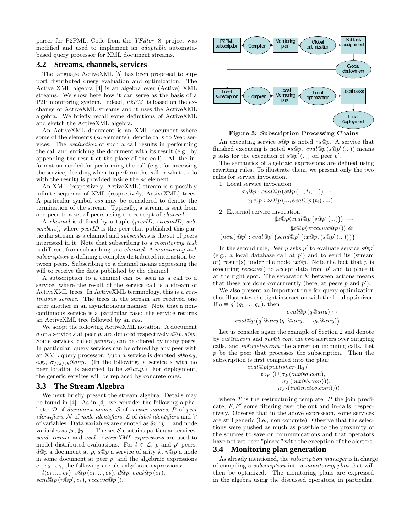parser for P2PML. Code from the YFilter [8] project was modified and used to implement an adaptable automatabased query processor for XML document streams.

#### **3.2 Streams, channels, services**

The language ActiveXML [5] has been proposed to support distributed query evaluation and optimization. The Active XML algebra [4] is an algebra over (Active) XML streams. We show here how it can serve as the basis of a P2P monitoring system. Indeed, P2PM is based on the exchange of ActiveXML streams and it uses the ActiveXML algebra. We briefly recall some definitions of ActiveXML and sketch the ActiveXML algebra.

An ActiveXML document is an XML document where some of the elements (sc elements), denote calls to Web services. The evaluation of such a call results in performing the call and enriching the document with its result (e.g., by appending the result at the place of the call). All the information needed for performing the call (e.g., for accessing the service, deciding when to perform the call or what to do with the result) is provided inside the sc element.

An XML (respectively, ActiveXML) stream is a possibly infinite sequence of XML (respectively, ActiveXML) trees. A particular symbol eos may be considered to denote the termination of the stream. Typically, a stream is sent from one peer to a set of peers using the concept of channel.

A channel is defined by a tuple (peerID, streamID, subscribers), where *peerID* is the peer that published this particular stream as a channel and subscribers is the set of peers interested in it. Note that subscribing to a monitoring task is different from subscribing to a channel. A monitoring task subscription is defining a complex distributed interaction between peers. Subscribing to a channel means expressing the will to receive the data published by the channel.

A subscription to a channel can be seen as a call to a service, where the result of the service call is a stream of ActiveXML trees. In ActiveXML terminology, this is a continuous service. The trees in the stream are received one after another in an asynchronous manner. Note that a noncontinuous service is a particular case: the service returns an ActiveXML tree followed by an eos.

We adopt the following ActiveXML notation. A document d or a service s at peer p, are denoted respectively  $d\mathbb{Q}p$ ,  $s\mathbb{Q}p$ . Some services, called generic, can be offered by many peers. In particular, query services can be offered by any peer with an XML query processor. Such a service is denoted  $s@any$ , e.g.,  $\sigma_{//a//b}$ @any. (In the following, a service s with no peer location is assumed to be s@any.) For deployment, the generic services will be replaced by concrete ones.

#### **3.3 The Stream Algebra**

We next briefly present the stream algebra. Details may be found in [4]. As in [4], we consider the following alphabets:  $D$  of *document names,*  $S$  of *service names,*  $P$  of *peer identifiers,*  $N$  of node *identifiers*,  $\mathcal L$  of *label identifiers* and  $\mathcal V$ of variables. Data variables are denoted as  $x, y$ ... and node variables as  $\sharp x, \sharp y$ .... The set S contains particular services: send, receive and eval. ActiveXML expressions are used to model distributed evaluations. For  $l \in \mathcal{L}$ , p and p' peers,  $d@p$  a document at p,  $s@p$  a service of arity k,  $n@p$  a node in some document at peer  $p$ , and the algebraic expressions  $e_1, e_2...e_k$ , the following are also algebraic expressions:

 $l\langle e_1, ..., e_k \rangle$ ,  $s@p(e_1, ..., e_k)$ ,  $d@p, eval@p(e_1)$ ,  $\widetilde{\mathit{sendop}}(n@p',e_1), \widetilde{\mathit{receiveop}}(n).$ 



Figure 3: Subscription Processing Chains

An executing service  $s@p$  is noted  $\circ s@p$ . A service that finished executing is noted  $\bullet s@p.$   $eval@p(s@p'(...))$  means p asks for the execution of  $s@p'$  (...) on peer p'.

The semantics of algebraic expressions are defined using rewriting rules. To illustrate them, we present only the two rules for service invocation.

1. Local service invocation

 $x_0@p : eval@p (s@p (..., t_i, ...)) \rightarrow$  $x_0@p : \circ s@p$  (...,  $eval@p(t_i)$ ,...)

2. External service invocation

 $\sharp x \mathbb{Q}p\langle eval \mathbb{Q}p(S\mathbb{Q}p'(...))\rangle \rightarrow$  $\sharp x@p$  (oreceive  $@p$  ()) &  $(new) \mathcal{Q}p' : eval\mathcal{Q}p'$   $(send\mathcal{Q}p'$   $(\sharp x \mathcal{Q}p, (s\mathcal{Q}p' (...))))$ 

In the second rule, Peer p asks p' to evaluate service  $s@p'$ (e.g., a local database call at  $p'$ ) and to send its (stream of) result(s) under the node  $\sharp x@p$ . Note the fact that p is executing receive() to accept data from  $p'$  and to place it at the right spot. The separator & between actions means that these are done concurrently (here, at peers  $p$  and  $p'$ ).

We also present an important rule for query optimization that illustrates the tight interaction with the local optimizer: If  $q \equiv q'(q_1, ..., q_n)$ , then

$$
eval@p(q@any) \leftrightarrow \\ eval@p(q'@any(q_1@any,...,q_n@any))
$$

Let us consider again the example of Section 2 and denote by out@a.com and out@b.com the two alerters over outgoing calls, and in@meteo.com the alerter on incoming calls. Let p be the peer that processes the subscription. Then the subscription is first compiled into the plan:

> $eval@p(publisher(\Pi_T))$  $\bowtie_P (\cup (\sigma_F(out@a.com)),$  $\sigma_F(out@b.com))$ ,  $\sigma_{F'}(in@meteo.com)))$

where  $T$  is the restructuring template,  $P$  the join predicate,  $F, F'$  some filtering over the out and in-calls, respectively. Observe that in the above expression, some services are still generic (i.e., non concrete). Observe that the selections were pushed as much as possible to the proximity of the sources to save on communications and that operators have not yet been "placed" with the exception of the alerters.

### **3.4 Monitoring plan generation**

As already mentioned, the subscription manager is in charge of compiling a subscription into a monitoring plan that will then be optimized. The monitoring plans are expressed in the algebra using the discussed operators, in particular,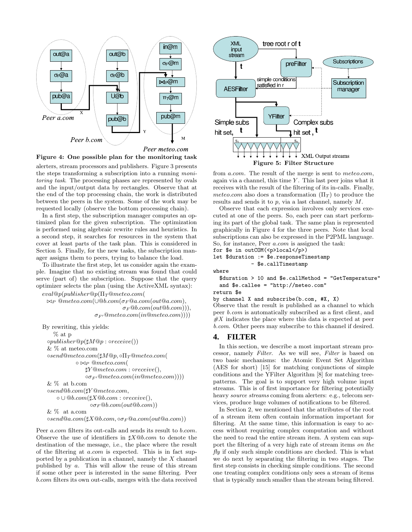



alerters, stream processors and publishers. Figure 3 presents the steps transforming a subscription into a running monitoring task. The processing phases are represented by ovals and the input/output data by rectangles. Observe that at the end of the top processing chain, the work is distributed between the peers in the system. Some of the work may be requested locally (observe the bottom processing chain).

In a first step, the subscription manager computes an optimized plan for the given subscription. The optimization is performed using algebraic rewrite rules and heuristics. In a second step, it searches for resources in the system that cover at least parts of the task plan. This is considered in Section 5. Finally, for the new tasks, the subscription manager assigns them to peers, trying to balance the load.

To illustrate the first step, let us consider again the example. Imagine that no existing stream was found that could serve (part of) the subscription. Suppose that the query optimizer selects the plan (using the ActiveXML syntax):

```
eval@p(publisher@p(\Pi_T@meteo.com()⊲⊳P @meteo.com(∪@b.com(σF@a.com(out@a.com),
                                \sigma_F<sup>(a)</sup>.com(out<sup>(a)</sup>b.com)),
                     \sigma_F ©meteo.com(in@meteo.com))))
```

```
By rewriting, this yields:
     % at p
  \circ \text{public} \cdot \text{in} \mathbb{Q} \text{ (} \sharp M \mathbb{Q} \text{) : } \text{or} \text{ (} \text{(-)} \text{)}& % at meteo.com
  \circ send@meteo.com(\sharp M@p, \circ \Pi_T@meteo.com)◦ ⊲⊳P @meteo.com(
                       ♯Y @meteo.com : ◦receive(),
                       \circ \sigma_{F'}@meteo.com(in@meteo.com))))
  & % at b.com
  ◦send@b.com(♯Y @meteo.com,
       \circ \cup \mathcal{Q}b.com(\sharp X\mathcal{Q}b.com: \text{or}eceive(),\circ \sigma_F \mathcal{Q}b.com(out\mathcal{Q}b.com))&\% at a.com
  \circ send@a.com(\sharp X@b.com, \circ \sigma_F@a.com(out@a.com))
```
Peer a.com filters its out-calls and sends its result to b.com. Observe the use of identifiers in  $\sharp X@b.com$  to denote the destination of the message, i.e., the place where the result of the filtering at a.com is expected. This is in fact supported by a publication in a channel, namely the  $X$  channel published by a. This will allow the reuse of this stream if some other peer is interested in the same filtering. Peer b.com filters its own out-calls, merges with the data received



from a.com. The result of the merge is sent to meteo.com, again via a channel, this time  $Y$ . This last peer joins what it receives with the result of the filtering of its in-calls. Finally, meteo.com also does a transformation  $(\Pi_T)$  to produce the results and sends it to p, via a last channel, namely M.

Observe that each expression involves only services executed at one of the peers. So, each peer can start performing its part of the global task. The same plan is represented graphically in Figure 4 for the three peers. Note that local subscriptions can also be expressed in the P2PML language. So, for instance, Peer a.com is assigned the task: for \$e in outCOM(<p>local</p>)

```
let $duration := $e.responseTimestamp
            - $e.callTimestamp
```
where

\$duration > 10 and \$e.callMethod = "GetTemperature" and \$e.callee = "http://meteo.com"

return \$e

by channel X and subscribe(b.com, #X, X)

Observe that the result is published as a channel to which peer b.com is automatically subscribed as a first client, and  $\#X$  indicates the place where this data is expected at peer b.com. Other peers may subscribe to this channel if desired.

# **4. FILTER**

In this section, we describe a most important stream processor, namely Filter. As we will see, Filter is based on two basic mechanisms: the Atomic Event Set Algorithm (AES for short) [15] for matching conjunctions of simple conditions and the YFilter Algorithm [8] for matching treepatterns. The goal is to support very high volume input streams. This is of first importance for filtering potentially heavy *source streams* coming from alerters: e.g., telecom services, produce huge volumes of notifications to be filtered.

In Section 2, we mentioned that the attributes of the root of a stream item often contain information important for filtering. At the same time, this information is easy to access without requiring complex computation and without the need to read the entire stream item. A system can support the filtering of a very high rate of stream items on the  $fly$  if only such simple conditions are checked. This is what we do next by separating the filtering in two stages. The first step consists in checking simple conditions. The second one treating complex conditions only sees a stream of items that is typically much smaller than the stream being filtered.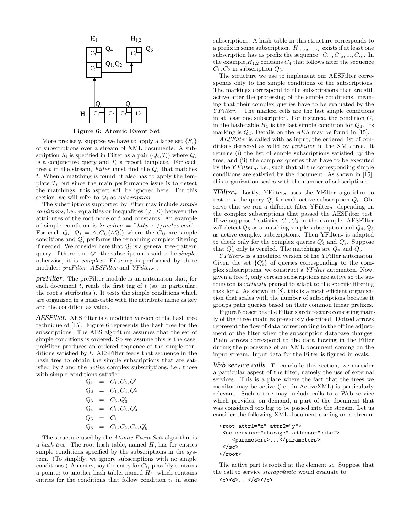

Figure 6: Atomic Event Set

More precisely, suppose we have to apply a large set  $\{S_i\}$ of subscriptions over a stream of XML documents. A subscription  $S_i$  is specified in Filter as a pair  $(Q_i, T_i)$  where  $Q_i$ is a conjunctive query and  $T_i$  a report template. For each tree t in the stream, Filter must find the  $Q_i$  that matches t. When a matching is found, it also has to apply the template  $T_i$  but since the main performance issue is to detect the matchings, this aspect will be ignored here. For this section, we will refer to  $Q_i$  as subscription.

The subscriptions supported by Filter may include simple conditions, i.e., equalities or inequalities ( $\neq$ ,  $\leq$ ) between the attributes of the root node of  $t$  and constants. An example of simple condition is  $% \mathcal{E}$ *callee* = "http : //meteo.com". For each  $Q_i$ ,  $Q_i = \wedge_j C_{ij} (\wedge Q'_i)$  where the  $C_{ij}$  are simple conditions and  $Q'_i$  performs the remaining complex filtering if needed. We consider here that  $Q_i'$  is a general tree-pattern query. If there is no  $Q'_i$ , the subscription is said to be *simple*; otherwise, it is complex. Filtering is performed by three modules: preFilter, AESFilter and  $YFilter_{\sigma}$ .

*preFilter.* The preFilter module is an automaton that, for each document  $t$ , reads the first tag of  $t$  (so, in particular, the root's attributes ). It tests the simple conditions which are organized in a hash-table with the attribute name as key and the condition as value.

*AESFilter.* AESFilter is a modified version of the hash tree technique of [15]. Figure 6 represents the hash tree for the subscriptions. The AES algorithm assumes that the set of simple conditions is ordered. So we assume this is the case. preFilter produces an ordered sequence of the simple conditions satisfied by t. AESFilter feeds that sequence in the hash tree to obtain the simple subscriptions that are satisfied by t and the active complex subscriptions, i.e., those with simple conditions satisfied.

$$
Q_1 = C_1, C_2, Q'_1
$$
  
\n
$$
Q_2 = C_1, C_2, Q'_2
$$
  
\n
$$
Q_3 = C_3, Q'_3
$$
  
\n
$$
Q_4 = C_1, C_3, Q'_4
$$
  
\n
$$
Q_5 = C_1
$$
  
\n
$$
Q_6 = C_1, C_2, C_4, Q'_6
$$

The structure used by the *Atomic Event Sets* algorithm is a hash-tree. The root hash-table, named  $H$ , has for entries simple conditions specified by the subscriptions in the system. (To simplify, we ignore subscriptions with no simple conditions.) An entry, say the entry for  $C_{i_1}$  possibly contains a pointer to another hash table, named  $H_{i_1}$  which contains entries for the conditions that follow condition  $i_1$  in some subscriptions. A hash-table in this structure corresponds to a prefix in some subscription.  $H_{i_1,i_2,...,i_k}$  exists if at least one subscription has as prefix the sequence:  $C_{i_1}, C_{i_2}, ..., C_{i_k}$ . In the example,  $H_{1,2}$  contains  $C_4$  that follows after the sequence  $C_1, C_2$  in subscription  $Q_6$ .

The structure we use to implement our AESFilter corresponds only to the simple conditions of the subscriptions. The markings correspond to the subscriptions that are still active after the processing of the simple conditions, meaning that their complex queries have to be evaluated by the  $YFilter_{\sigma}$ . The marked cells are the last simple conditions in at least one subscription. For instance, the condition  $C_3$ in the hash-table  $H_1$  is the last simple condition for  $Q_4$ . Its marking is  $Q_4$ . Details on the AES may be found in [15].

AESFilter is called with as input, the ordered list of conditions detected as valid by preFilter in the XML tree. It returns (i) the list of simple subscriptions satisfied by the tree, and (ii) the complex queries that have to be executed by the  $YFilter_{\sigma}$ , i.e., such that all the corresponding simple conditions are satisfied by the document. As shown in [15], this organization scales with the number of subscriptions.

*YFilter<sub>σ</sub>*. Lastly, YFilter<sub>σ</sub> uses the YFilter algorithm to test on t the query  $Q_i'$  for each active subscription  $Q_i$ . Observe that we run a different filter  $YFilter_{\sigma}$ , depending on the complex subscriptions that passed the AESFilter test. If we suppose t satisfies  $C_1, C_3$  in the example, AESFilter will detect  $Q_5$  as a matching simple subscription and  $Q_4, Q_3$ as active complex subscriptions. Then  $YFilter_{\sigma}$  is adapted to check only for the complex queries  $Q'_4$  and  $Q'_3$ . Suppose that  $Q'_4$  only is verified. The matchings are  $Q_4$  and  $Q_5$ .

 $YFilter_{\sigma}$  is a modified version of the YFilter automaton. Given the set  ${Q'_i}$  of queries corresponding to the complex subscriptions, we construct a YFilter automaton. Now, given a tree  $t$ , only certain subscriptions are active so the automaton is virtually pruned to adapt to the specific filtering task for  $t$ . As shown in  $[8]$ , this is a most efficient organization that scales with the number of subscriptions because it groups path queries based on their common linear prefixes.

Figure 5 describes the Filter's architecture consisting mainly of the three modules previously described. Dotted arrows represent the flow of data corresponding to the offline adjustment of the filter when the subscription database changes. Plain arrows correspond to the data flowing in the Filter during the processing of an XML document coming on the input stream. Input data for the Filter is figured in ovals.

*Web service calls.* To conclude this section, we consider a particular aspect of the filter, namely the use of external services. This is a place where the fact that the trees we monitor may be active (i.e., in ActiveXML) is particularly relevant. Such a tree may include calls to a Web service which provides, on demand, a part of the document that was considered too big to be passed into the stream. Let us consider the following XML document coming on a stream:

```
<root attr1="x" attr2="y">
 <sc service="storage" address="site">
    <parameters>...</parameters>
\langle/sc\rangle</root>
```
The active part is rooted at the element sc. Suppose that the call to service storage@site would evaluate to: <c><d>...</d></c>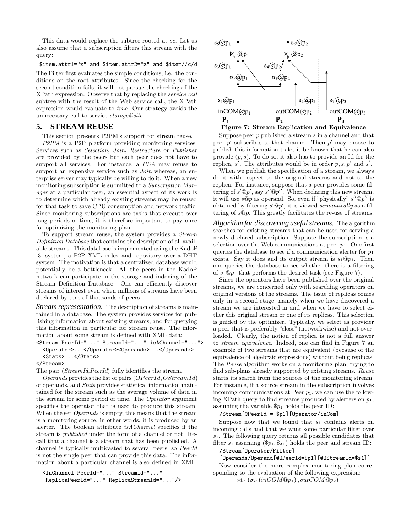This data would replace the subtree rooted at sc. Let us also assume that a subscription filters this stream with the query:

#### \$item.attr1="x" and \$item.attr2="z" and \$item//c/d

The Filter first evaluates the simple conditions, i.e. the conditions on the root attributes. Since the checking for the second condition fails, it will not pursue the checking of the XPath expression. Observe that by replacing the service call subtree with the result of the Web service call, the XPath expression would evaluate to true. Our strategy avoids the unnecessary call to service storage@site.

#### **5. STREAM REUSE**

This section presents P2PM's support for stream reuse.

P2PM is a P2P platform providing monitoring services. Services such as Selection, Join, Restructure or Publisher are provided by the peers but each peer does not have to support all services. For instance, a PDA may refuse to support an expensive service such as *Join* whereas, an enterprise server may typically be willing to do it. When a new monitoring subscription is submitted to a Subscription Manager at a particular peer, an essential aspect of its work is to determine which already existing streams may be reused for that task to save CPU consumption and network traffic. Since monitoring subscriptions are tasks that execute over long periods of time, it is therefore important to pay once for optimizing the monitoring plan.

To support stream reuse, the system provides a Stream Definition Database that contains the description of all available streams. This database is implemented using the KadoP [3] system, a P2P XML index and repository over a DHT system. The motivation is that a centralized database would potentially be a bottleneck. All the peers in the KadoP network can participate in the storage and indexing of the Stream Definition Database. One can efficiently discover streams of interest even when millions of streams have been declared by tens of thousands of peers.

*Stream representation.* The description of streams is maintained in a database. The system provides services for publishing information about existing streams, and for querying this information in particular for stream reuse. The information about some stream is defined with XML data:

<Stream PeerId="..." StreamId="..." isAChannel="..."> <Operator>...</Operator><Operands>...</Operands> <Stats>...</Stats>

#### </Stream>

The pair (*StreamId,PeerId*) fully identifies the stream.

Operands provides the list of pairs  $(OPeerId, OStreamId)$ of operands, and Stats provides statistical information maintained for the stream such as the average volume of data in the stream for some period of time. The Operator argument specifies the operator that is used to produce this stream. When the set *Operands* is empty, this means that the stream is a monitoring source, in other words, it is produced by an alerter. The boolean attribute isAChannel specifies if the stream is published under the form of a channel or not. Recall that a channel is a stream that has been published. A channel is typically multicasted to several peers, so PeerId is not the single peer that can provide this data. The information about a particular channel is also defined in XML:

```
<InChannel PeerId="..." StreamId="..."
ReplicaPeerId="..." ReplicaStreamId="..."/>
```


Figure 7: Stream Replication and Equivalence

Suppose peer  $p$  published a stream  $s$  in a channel and that peer  $p'$  subscribes to that channel. Then  $p'$  may choose to publish this information to let it be known that he can also provide  $(p, s)$ . To do so, it also has to provide an Id for the replica, s'. The attributes would be in order  $p, s, p'$  and s'.

When we publish the specification of a stream, we always do it with respect to the original streams and not to the replica. For instance, suppose that a peer provides some filtering of  $s' @ p'$ , say  $s'' @ p''$ . When declaring this new stream, it will use  $s@p$  as operand. So, even if "physically"  $s''@p''$  is obtained by filtering  $s' \mathbb{Q} p'$ , it is viewed *semantically* as a filtering of s@p. This greatly facilitates the re-use of streams.

*Algorithm for discovering useful streams.* The algorithm searches for existing streams that can be used for serving a newly declared subscription. Suppose the subscription is a selection over the Web communications at peer  $p_1$ . One first queries the database to see if a communication alerter for  $p_1$ exists. Say it does and its output stream is  $s_1@p_1$ . Then one queries the database to see whether there is a filtering of  $s_1@p_1$  that performs the desired task (see Figure 7).

Since the operators have been published over the original streams, we are concerned only with searching operators on original versions of the streams. The issue of replicas comes only in a second stage, namely when we have discovered a stream we are interested in and when we have to select either this original stream or one of its replicas. This selection is guided by the optimizer. Typically, we select as provider a peer that is preferably "close" (networkwise) and not overloaded. Clearly, the notion of replica is not a full answer to stream equivalence. Indeed, one can find in Figure 7 an example of two streams that are equivalent (because of the equivalence of algebraic expressions) without being replicas. The Reuse algorithm works on a monitoring plan, trying to find sub-plans already supported by existing streams. Reuse starts its search from the sources of the monitoring stream. For instance, if a source stream in the subscription involves incoming communications at Peer  $p_1$ , we can use the following XPath query to find streams produced by alerters on  $p_1$ , assuming the variable  $\$_{p_1}$  holds the peer ID:

#### /Stream[@PeerId = \$p1][Operator/inCom]

Suppose now that we found that  $s_1$  contains alerts on incoming calls and that we want some particular filter over  $s<sub>1</sub>$ . The following query returns all possible candidates that filter  $s_1$  assuming  $(\$_{p_1}, \$_{s_1})$  holds the peer and stream ID:

## /Stream[Operator/Filter]

[Operands/Operand[@OPeerId=\$p1][@OStreamId=\$s1]] Now consider the more complex monitoring plan corresponding to the evaluation of the following expression:

 $\bowtie_P (\sigma_F (inCOM@p_1), outCOM@p_2)$